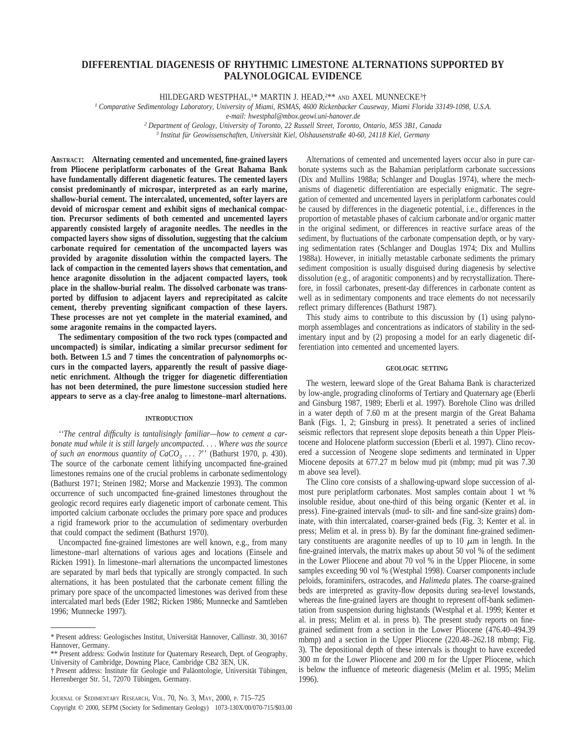# **DIFFERENTIAL DIAGENESIS OF RHYTHMIC LIMESTONE ALTERNATIONS SUPPORTED BY PALYNOLOGICAL EVIDENCE**

HILDEGARD WESTPHAL.<sup>1\*</sup> MARTIN J. HEAD.<sup>2\*\*</sup> AND AXEL MUNNECKE<sup>3+</sup>

*<sup>1</sup> Comparative Sedimentology Laboratory, University of Miami, RSMAS, 4600 Rickenbacker Causeway, Miami Florida 33149-1098, U.S.A.*

*e-mail: hwestphal@mbox.geowi.uni-hanover.de*

*<sup>2</sup> Department of Geology, University of Toronto, 22 Russell Street, Toronto, Ontario, M5S 3B1, Canada <sup>3</sup> Institut fu¨r Geowissenschaften, Universita¨t Kiel, Olshausenstraße 40-60, 24118 Kiel, Germany*

**ABSTRACT: Alternating cemented and uncemented, fine-grained layers from Pliocene periplatform carbonates of the Great Bahama Bank have fundamentally different diagenetic features. The cemented layers consist predominantly of microspar, interpreted as an early marine, shallow-burial cement. The intercalated, uncemented, softer layers are devoid of microspar cement and exhibit signs of mechanical compaction. Precursor sediments of both cemented and uncemented layers apparently consisted largely of aragonite needles. The needles in the compacted layers show signs of dissolution, suggesting that the calcium carbonate required for cementation of the uncompacted layers was provided by aragonite dissolution within the compacted layers. The lack of compaction in the cemented layers shows that cementation, and hence aragonite dissolution in the adjacent compacted layers, took place in the shallow-burial realm. The dissolved carbonate was transported by diffusion to adjacent layers and reprecipitated as calcite cement, thereby preventing significant compaction of these layers. These processes are not yet complete in the material examined, and some aragonite remains in the compacted layers.**

**The sedimentary composition of the two rock types (compacted and uncompacted) is similar, indicating a similar precursor sediment for both. Between 1.5 and 7 times the concentration of palynomorphs occurs in the compacted layers, apparently the result of passive diagenetic enrichment. Although the trigger for diagenetic differentiation has not been determined, the pure limestone succession studied here appears to serve as a clay-free analog to limestone–marl alternations.**

### **INTRODUCTION**

*''The central difficulty is tantalisingly familiar—how to cement a carbonate mud while it is still largely uncompacted.* ... *Where was the source of such an enormous quantity of CaCO<sub>3</sub> ...?*" (Bathurst 1970, p. 430). The source of the carbonate cement lithifying uncompacted fine-grained limestones remains one of the crucial problems in carbonate sedimentology (Bathurst 1971; Steinen 1982; Morse and Mackenzie 1993). The common occurrence of such uncompacted fine-grained limestones throughout the geologic record requires early diagenetic import of carbonate cement. This imported calcium carbonate occludes the primary pore space and produces a rigid framework prior to the accumulation of sedimentary overburden that could compact the sediment (Bathurst 1970).

Uncompacted fine-grained limestones are well known, e.g., from many limestone–marl alternations of various ages and locations (Einsele and Ricken 1991). In limestone–marl alternations the uncompacted limestones are separated by marl beds that typically are strongly compacted. In such alternations, it has been postulated that the carbonate cement filling the primary pore space of the uncompacted limestones was derived from these intercalated marl beds (Eder 1982; Ricken 1986; Munnecke and Samtleben 1996; Munnecke 1997).

Alternations of cemented and uncemented layers occur also in pure carbonate systems such as the Bahamian periplatform carbonate successions (Dix and Mullins 1988a; Schlanger and Douglas 1974), where the mechanisms of diagenetic differentiation are especially enigmatic. The segregation of cemented and uncemented layers in periplatform carbonates could be caused by differences in the diagenetic potential, i.e., differences in the proportion of metastable phases of calcium carbonate and/or organic matter in the original sediment, or differences in reactive surface areas of the sediment, by fluctuations of the carbonate compensation depth, or by varying sedimentation rates (Schlanger and Douglas 1974; Dix and Mullins 1988a). However, in initially metastable carbonate sediments the primary sediment composition is usually disguised during diagenesis by selective dissolution (e.g., of aragonitic components) and by recrystallization. Therefore, in fossil carbonates, present-day differences in carbonate content as well as in sedimentary components and trace elements do not necessarily reflect primary differences (Bathurst 1987).

This study aims to contribute to this discussion by (1) using palynomorph assemblages and concentrations as indicators of stability in the sedimentary input and by (2) proposing a model for an early diagenetic differentiation into cemented and uncemented layers.

## **GEOLOGIC SETTING**

The western, leeward slope of the Great Bahama Bank is characterized by low-angle, prograding clinoforms of Tertiary and Quaternary age (Eberli and Ginsburg 1987, 1989; Eberli et al. 1997). Borehole Clino was drilled in a water depth of 7.60 m at the present margin of the Great Bahama Bank (Figs. 1, 2; Ginsburg in press). It penetrated a series of inclined seismic reflectors that represent slope deposits beneath a thin Upper Pleistocene and Holocene platform succession (Eberli et al. 1997). Clino recovered a succession of Neogene slope sediments and terminated in Upper Miocene deposits at 677.27 m below mud pit (mbmp; mud pit was 7.30 m above sea level).

The Clino core consists of a shallowing-upward slope succession of almost pure periplatform carbonates. Most samples contain about 1 wt % insoluble residue, about one-third of this being organic (Kenter et al. in press). Fine-grained intervals (mud- to silt- and fine sand-size grains) dominate, with thin intercalated, coarser-grained beds (Fig. 3; Kenter et al. in press; Melim et al. in press b). By far the dominant fine-grained sedimentary constituents are aragonite needles of up to 10  $\mu$ m in length. In the fine-grained intervals, the matrix makes up about 50 vol % of the sediment in the Lower Pliocene and about 70 vol % in the Upper Pliocene, in some samples exceeding 90 vol % (Westphal 1998). Coarser components include peloids, foraminifers, ostracodes, and *Halimeda* plates. The coarse-grained beds are interpreted as gravity-flow deposits during sea-level lowstands, whereas the fine-grained layers are thought to represent off-bank sedimentation from suspension during highstands (Westphal et al. 1999; Kenter et al. in press; Melim et al. in press b). The present study reports on finegrained sediment from a section in the Lower Pliocene (476.40–494.39 mbmp) and a section in the Upper Pliocene (220.48–262.18 mbmp; Fig. 3). The depositional depth of these intervals is thought to have exceeded 300 m for the Lower Pliocene and 200 m for the Upper Pliocene, which is below the influence of meteoric diagenesis (Melim et al. 1995; Melim 1996).

<sup>\*</sup> Present address: Geologisches Institut, Universita¨t Hannover, Callinstr. 30, 30167 Hannover, Germany.

<sup>\*\*</sup> Present address: Godwin Institute for Quaternary Research, Dept. of Geography, University of Cambridge, Downing Place, Cambridge CB2 3EN, UK.

<sup>†</sup> Present address: Institute für Geologie und Paläontologie, Universität Tübingen, Herrenberger Str. 51, 72070 Tübingen, Germany.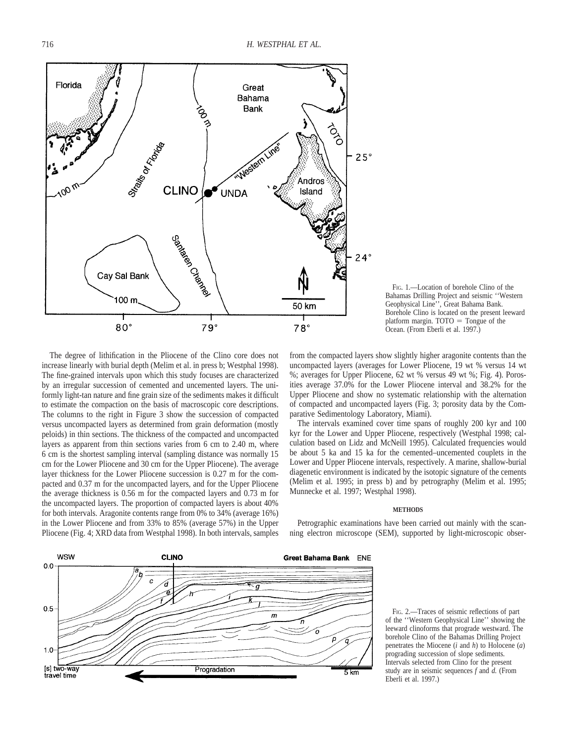



The degree of lithification in the Pliocene of the Clino core does not increase linearly with burial depth (Melim et al. in press b; Westphal 1998). The fine-grained intervals upon which this study focuses are characterized by an irregular succession of cemented and uncemented layers. The uniformly light-tan nature and fine grain size of the sediments makes it difficult to estimate the compaction on the basis of macroscopic core descriptions. The columns to the right in Figure 3 show the succession of compacted versus uncompacted layers as determined from grain deformation (mostly peloids) in thin sections. The thickness of the compacted and uncompacted layers as apparent from thin sections varies from 6 cm to 2.40 m, where 6 cm is the shortest sampling interval (sampling distance was normally 15 cm for the Lower Pliocene and 30 cm for the Upper Pliocene). The average layer thickness for the Lower Pliocene succession is 0.27 m for the compacted and 0.37 m for the uncompacted layers, and for the Upper Pliocene the average thickness is 0.56 m for the compacted layers and 0.73 m for the uncompacted layers. The proportion of compacted layers is about 40% for both intervals. Aragonite contents range from 0% to 34% (average 16%) in the Lower Pliocene and from 33% to 85% (average 57%) in the Upper Pliocene (Fig. 4; XRD data from Westphal 1998). In both intervals, samples from the compacted layers show slightly higher aragonite contents than the uncompacted layers (averages for Lower Pliocene, 19 wt % versus 14 wt %; averages for Upper Pliocene, 62 wt % versus 49 wt %; Fig. 4). Porosities average 37.0% for the Lower Pliocene interval and 38.2% for the Upper Pliocene and show no systematic relationship with the alternation of compacted and uncompacted layers (Fig. 3; porosity data by the Comparative Sedimentology Laboratory, Miami).

The intervals examined cover time spans of roughly 200 kyr and 100 kyr for the Lower and Upper Pliocene, respectively (Westphal 1998; calculation based on Lidz and McNeill 1995). Calculated frequencies would be about 5 ka and 15 ka for the cemented–uncemented couplets in the Lower and Upper Pliocene intervals, respectively. A marine, shallow-burial diagenetic environment is indicated by the isotopic signature of the cements (Melim et al. 1995; in press b) and by petrography (Melim et al. 1995; Munnecke et al. 1997; Westphal 1998).

#### **METHODS**

Petrographic examinations have been carried out mainly with the scanning electron microscope (SEM), supported by light-microscopic obser-



FIG. 2.—Traces of seismic reflections of part of the ''Western Geophysical Line'' showing the leeward clinoforms that prograde westward. The borehole Clino of the Bahamas Drilling Project penetrates the Miocene (*i* and *h*) to Holocene (*a*) prograding succession of slope sediments. Intervals selected from Clino for the present study are in seismic sequences *f* and *d.* (From Eberli et al. 1997.)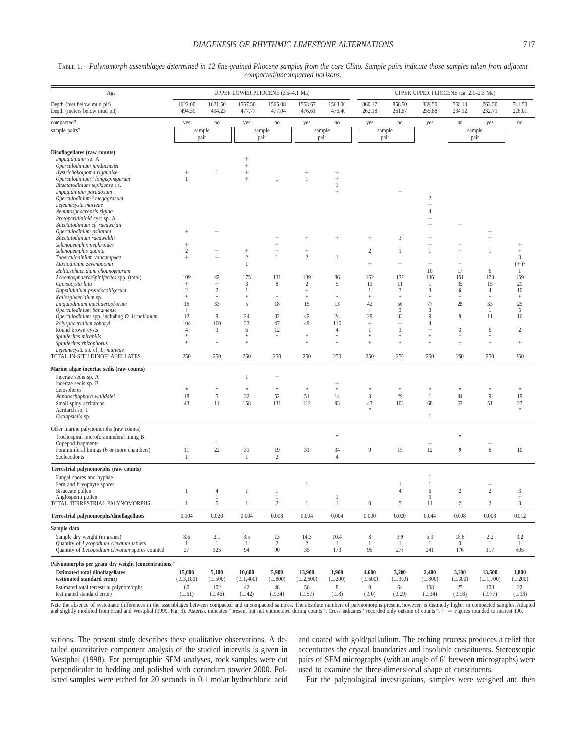## **DIAGENESIS OF RHYTHMIC LIMESTONE ALTERNATIONS** 717

| TABLE 1.-Palynomorph assemblages determined in 12 fine-grained Pliocene samples from the core Clino. Sample pairs indicate those samples taken from adjacent |
|--------------------------------------------------------------------------------------------------------------------------------------------------------------|
| compacted/uncompacted horizons.                                                                                                                              |

| Age                                                                                       | UPPER LOWER PLIOCENE (3.6-4.1 Ma) |                             |                          |                        |                      |                        | UPPER UPPER PLIOCENE (ca. 2.1-2.3 Ma) |                                |                                    |                  |                                 |                      |
|-------------------------------------------------------------------------------------------|-----------------------------------|-----------------------------|--------------------------|------------------------|----------------------|------------------------|---------------------------------------|--------------------------------|------------------------------------|------------------|---------------------------------|----------------------|
| Depth (feet below mud pit)<br>Depth (meters below mud pit)                                | 1622.00<br>494.39                 | 1621.50<br>494.23           | 1567.50<br>477.77        | 1565.08<br>477.04      | 1563.67<br>476.61    | 1563.00<br>476.40      | 860.17<br>262.18                      | 858.50<br>261.67               | 839.50<br>255.88                   | 768.13<br>234.12 | 763.50<br>232.71                | 741.50<br>226.01     |
| compacted?                                                                                | yes                               | $\rm {no}$                  | yes                      | $\rm no$               | yes                  | no                     | yes                                   | no                             | yes                                | $\rm no$         | yes                             | no                   |
| sample pairs?                                                                             | sample<br>pair                    |                             | sample<br>pair           |                        |                      | sample<br>pair         |                                       | sample<br>pair                 |                                    | sample<br>pair   |                                 |                      |
| Dinoflagellates (raw counts)                                                              |                                   |                             |                          |                        |                      |                        |                                       |                                |                                    |                  |                                 |                      |
| Impagidinuim sp. A<br>Operculodinium janduchenei                                          |                                   |                             | $^{+}$                   |                        |                      |                        |                                       |                                |                                    |                  |                                 |                      |
| Hystrichokolpoma rigaudiae                                                                | $^{+}$                            | 1                           |                          |                        | $^{+}$               | $^{+}$                 |                                       |                                |                                    |                  |                                 |                      |
| Operculodinium? longispinigerum                                                           | $\mathbf{1}$                      |                             | $\ddot{}$                | -1                     | $\mathbf{1}$         | $^{+}$                 |                                       |                                |                                    |                  |                                 |                      |
| Bitectatodinium tepikiense s.s.<br>Impagidinium paradoxum                                 |                                   |                             |                          |                        |                      | $\mathbf{1}$<br>$^{+}$ |                                       | $\! + \!\!\!\!$                |                                    |                  |                                 |                      |
| Operculodinium? megagranum                                                                |                                   |                             |                          |                        |                      |                        |                                       |                                | $\overline{2}$                     |                  |                                 |                      |
| Lejeunecysta marieae                                                                      |                                   |                             |                          |                        |                      |                        |                                       |                                | $^{+}$                             |                  |                                 |                      |
| Nematosphaeropsis rigida<br>Protoperidinioid cyst sp. A                                   |                                   |                             |                          |                        |                      |                        |                                       |                                | 4<br>$\ddot{}$                     |                  |                                 |                      |
| Bitectatodinium cf. raedwaldii                                                            |                                   |                             |                          |                        |                      |                        |                                       |                                | $^{+}$                             | $^{+}$           |                                 |                      |
| Operculodinium psilatum                                                                   | $^{+}$                            | $^{+}$                      |                          |                        |                      |                        |                                       |                                |                                    |                  | $^{+}$                          |                      |
| Bitectatodinium raedwaldii<br>Selenopemphix nephroides                                    | $\! + \!\!\!\!$                   |                             |                          | $\! + \!$              | $^{+}$               | $^{+}$                 | $\qquad \qquad +$                     | 3                              | $+$                                | $^{+}$           | $^{+}$                          |                      |
| Selenopemphis quanta                                                                      | $\sqrt{2}$                        | $^{+}$                      | $+$                      | $\qquad \qquad +$      | $^{+}$               |                        | $\boldsymbol{2}$                      | 1                              | 1                                  | $^{+}$           | $\mathbf{1}$                    | $^+$<br>$^{+}$       |
| Tuberculodinium vancampoae                                                                | $+$                               | $^{+}$                      | $\overline{2}$           | $\mathbf{1}$           | $\overline{2}$       | 1                      |                                       |                                |                                    | 1                |                                 | 3                    |
| Ataxiodinium zevenboomii                                                                  |                                   |                             | $\mathbf{1}$             |                        |                      |                        | $\qquad \qquad +$                     | $\! + \!\!\!\!$                |                                    | $\! + \!\!\!\!$  |                                 | $(+)$ ?              |
| Melitasphaeridium choanophorum<br>Achomosphaera/Spiniferites spp. (total)                 | 109                               | 42                          | 175                      | 131                    | 139                  | 86                     | 162                                   | 137                            | $10\,$<br>136                      | 17<br>151        | 6<br>173                        | 1<br>159             |
| Capisocysta lata                                                                          | $\! + \!\!\!\!$                   | $^{+}$                      | 3                        | 8                      | $\boldsymbol{2}$     | 5                      | 13                                    | 11                             | -1                                 | 35               | 15                              | 29                   |
| Dapsilidinium pseudocolligerum                                                            | $\mathfrak{2}$<br>*               | $\sqrt{2}$<br>$\frac{1}{2}$ | 1                        | $\ast$                 | $^{+}$               | $\ddot{\pi}$           | 1                                     | 3<br>$\ast$                    | 3                                  | 6                | $\overline{4}$<br>$\frac{1}{2}$ | 10                   |
| Kallosphaeridium sp.<br>Lingulodinium machaerophorum                                      | 16                                | 33                          | $\ddot{\mathrm{s}}$<br>5 | 18                     | $\approx$<br>15      | 13                     | $\ast$<br>42                          | 56                             | $\ast$<br>77                       | $\ast$<br>28     | 33                              | $\ddot{\rm s}$<br>25 |
| Operculodinium bahamense                                                                  | $\! + \!\!\!\!$                   |                             |                          | $+$                    | $\! + \!\!\!\!$      | $\! + \!\!\!\!$        | $\! + \!\!\!\!$                       | 3                              | 3                                  | $^{+}$           | 1                               | 5                    |
| Operculodinium spp. including O. israelianum                                              | 12                                | 9                           | 24                       | 32                     | 42                   | 24                     | 29                                    | 33                             | 9                                  | 9                | 11                              | 16                   |
| Polysphaeridium zoharvi                                                                   | 104<br>$\overline{4}$             | 160<br>3                    | 33                       | 47<br>12               | 49                   | 116<br>$\overline{4}$  | $^{+}$<br>$\overline{1}$              | $^{+}$<br>3                    | $\overline{4}$                     | 3                |                                 | $\overline{c}$       |
| Round brown cysts<br>Spiniferites mirabilis                                               |                                   |                             | 6<br>*                   | $\ast$                 | $\approx$            | $\ddot{\rm s}$         | $\ast$                                | $\ddot{\mathrm{s}}$            | $^{+}$<br>$\frac{d\mathbf{r}}{dt}$ | $\ast$           | 6<br>$\frac{1}{2}$              |                      |
| Spiniferites rhizophorus                                                                  | ×                                 | $\frac{1}{2}$               | $\hat{\mathbf{x}}$       |                        | *                    | $\ddot{\pi}$           | $\frac{1}{2}$                         | $\ast$                         | $\frac{d\mathbf{r}}{dt}$           | $\ast$           | ģ.                              | $\hat{\mathbf{x}}$   |
| Lejeunecysta sp. cf. L. marieae<br>TOTAL IN-SITU DINOFLAGELLATES                          | 250                               | 250                         | 250                      | 250                    | 250                  | 250                    | 250                                   | 250                            | 250                                | 250              | 250                             | 250                  |
| Marine algae incertae sedis (raw counts)                                                  |                                   |                             |                          |                        |                      |                        |                                       |                                |                                    |                  |                                 |                      |
| Incertae sedis sp. A                                                                      |                                   |                             | $\mathbf{1}$             | $\qquad \qquad +$      |                      |                        |                                       |                                |                                    |                  |                                 |                      |
| Incertae sedis sp. B                                                                      |                                   | $\frac{1}{2}$               | $\ddot{\textbf{x}}$      | $\ast$                 | $\ast$               | $^{+}$<br>$\ddot{\pi}$ | $\ast$                                | $\ddot{\approx}$               | $\frac{d\mathbf{r}}{dt}$           | $\ast$           | $\frac{1}{2}$                   | $\ddot{\mathrm{s}}$  |
| Leiospheres<br>Nanobarbophora walldalei                                                   | 18                                | $\sqrt{5}$                  | 32                       | 52                     | 51                   | 14                     | $\mathfrak{Z}$                        | 29                             | $\mathbf{1}$                       | 44               | 9                               | 19                   |
| Small spiny acritarchs                                                                    | 43                                | 11                          | 158                      | 131                    | 112                  | 93                     | 43                                    | 108                            | 68                                 | 63               | 51                              | 23                   |
| Acritarch sp. 1                                                                           |                                   |                             |                          |                        |                      |                        |                                       |                                |                                    |                  |                                 | $\ddot{\rm s}$       |
| Cyclopsiella sp.                                                                          |                                   |                             |                          |                        |                      |                        |                                       |                                | $\mathbf{1}$                       |                  |                                 |                      |
| Other marine palynomorphs (raw counts)                                                    |                                   |                             |                          |                        |                      |                        |                                       |                                |                                    |                  |                                 |                      |
| Trochospiral microforaminiferal lining B<br>Copepod fragments                             |                                   | 1                           |                          |                        |                      | 宗                      |                                       |                                | $+$                                | $\ast$           | $^{+}$                          |                      |
| Foraminiferal linings (6 or more chambers)                                                | 11                                | 22                          | 31                       | 19                     | 31                   | 34                     | 9                                     | 15                             | 12                                 | 9                | 6                               | 10                   |
| Scolecodonts                                                                              | $\mathbf{1}$                      |                             | $\mathbf{1}$             | $\overline{c}$         |                      | $\overline{4}$         |                                       |                                |                                    |                  |                                 |                      |
| Terrestrial palynomorphs (raw counts)                                                     |                                   |                             |                          |                        |                      |                        |                                       |                                |                                    |                  |                                 |                      |
| Fungal spores and hyphae                                                                  |                                   |                             |                          |                        |                      |                        |                                       |                                | 1                                  |                  |                                 |                      |
| Fern and bryophyte spores<br>Bisaccate pollen                                             | 1                                 | 4                           | $\mathbf{1}$             |                        | $\mathbf{1}$         |                        |                                       | $\mathbf{1}$<br>$\overline{4}$ | 1<br>6                             | $\boldsymbol{2}$ | $^{+}$<br>$\sqrt{2}$            |                      |
| Angiosperm pollen                                                                         |                                   | $\mathbf{1}$                |                          | 1<br>$\mathbf{1}$      |                      | 1                      |                                       |                                | 3                                  |                  |                                 | 3<br>$^{+}$          |
| TOTAL TERRESTRIAL PALYNOMORPHS                                                            |                                   | 5                           | $\mathbf{1}$             | $\overline{c}$         | 1                    | $\mathbf{1}$           | $\theta$                              | 5                              | 11                                 | $\overline{c}$   | $\overline{c}$                  | 3                    |
| Terrestrial palynomorphs/dinoflagellates                                                  | 0.004                             | 0.020                       | 0.004                    | 0.008                  | 0.004                | 0.004                  | 0.000                                 | 0.020                          | 0.044                              | 0.008            | 0.008                           | 0.012                |
| Sample data                                                                               |                                   |                             |                          |                        |                      |                        |                                       |                                |                                    |                  |                                 |                      |
| Sample dry weight (in grams)                                                              | 8.6                               | 2.1                         | 3.5                      | 13                     | 14.3                 | 10.4                   | $\,$ 8 $\,$                           | 3.9                            | 5.9                                | 18.6             | 2.2                             | 3.2                  |
| Quantity of Lycopodium clavatum tablets<br>Quantity of Lycopodium clavatum spores counted | 1<br>27                           | $\mathbf{1}$<br>325         | $\mathbf{1}$<br>94       | $\boldsymbol{2}$<br>90 | $\overline{c}$<br>35 | 1<br>173               | $\mathbf{1}$<br>95                    | -1<br>278                      | -1<br>241                          | 3<br>176         | $\mathbf{1}$<br>117             | $\mathbf{1}$<br>605  |
| Palynomorphs per gram dry weight (concentrations)†                                        |                                   |                             |                          |                        |                      |                        |                                       |                                |                                    |                  |                                 |                      |
| <b>Estimated total dinoflagellates</b>                                                    | 15,000                            | 5,100                       | 10,600                   | 5,900                  | 13,900               | 1,900                  | 4,600                                 | 3,200                          | 2,400                              | 3,200            | 13,500                          | 1,800                |
| (estimated standard error)                                                                | $(\pm 3, 100)$                    | $(\pm 500)$                 | $(\pm 1,400)$            | $(\pm 800)$            | $(\pm 2,600)$        | $(\pm 200)$            | $(\pm 600)$                           | $(\pm 300)$                    | $(\pm 300)$                        | $(\pm 300)$      | $(\pm 1,700)$                   | $(\pm 200)$          |
| Estimated total terrestrial palynomorphs                                                  | 60                                | 102                         | 42                       | 48                     | 56                   | 8                      | $\mathbf{0}$                          | 64                             | 108                                | 25               | 108                             | 22                   |
| (estimated standard error)                                                                | $(\pm 61)$                        | $(\pm 46)$                  | $(\pm 42)$               | $(\pm 34)$             | $(\pm 57)$           | $(\pm 8)$              | $(\pm 0)$                             | $(\pm 29)$                     | $(\pm 34)$                         | $(\pm 18)$       | $(\pm 77)$                      | $(\pm 13)$           |

Note the absence of systematic differences in the assemblages between compacted and uncompacted samples. The absolute numbers of palynomorphs present, however, is distinctly higher in compacted samples. Adapted to the abso

vations. The present study describes these qualitative observations. A detailed quantitative component analysis of the studied intervals is given in Westphal (1998). For petrographic SEM analyses, rock samples were cut perpendicular to bedding and polished with corundum powder 2000. Polished samples were etched for 20 seconds in 0.1 molar hydrochloric acid and coated with gold/palladium. The etching process produces a relief that accentuates the crystal boundaries and insoluble constituents. Stereoscopic pairs of SEM micrographs (with an angle of  $6^{\circ}$  between micrographs) were used to examine the three-dimensional shape of constituents.

For the palynological investigations, samples were weighed and then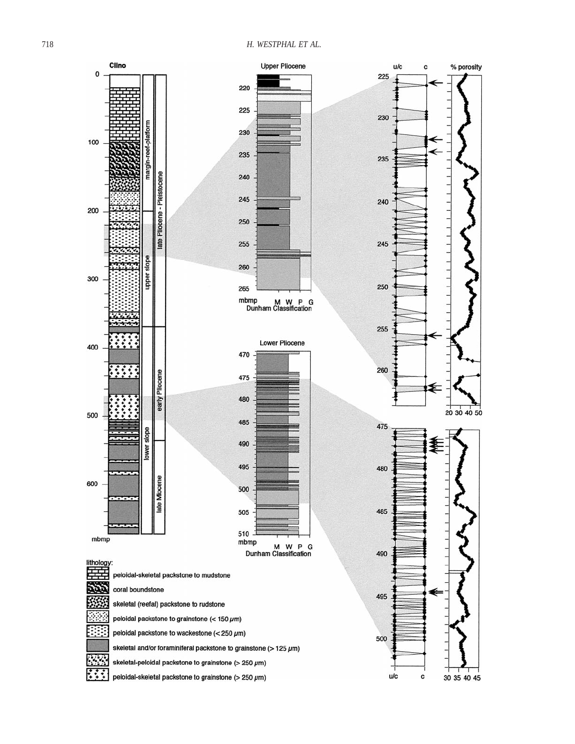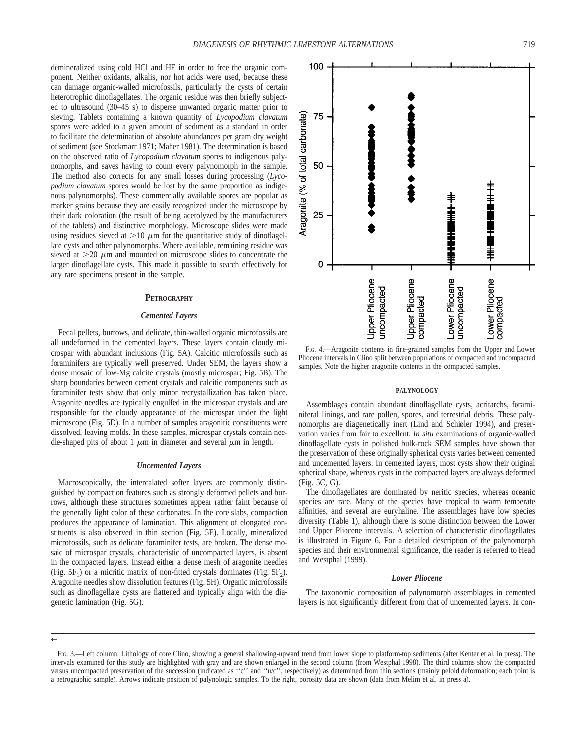demineralized using cold HCl and HF in order to free the organic component. Neither oxidants, alkalis, nor hot acids were used, because these can damage organic-walled microfossils, particularly the cysts of certain heterotrophic dinoflagellates. The organic residue was then briefly subjected to ultrasound (30–45 s) to disperse unwanted organic matter prior to sieving. Tablets containing a known quantity of *Lycopodium clavatum* spores were added to a given amount of sediment as a standard in order to facilitate the determination of absolute abundances per gram dry weight of sediment (see Stockmarr 1971; Maher 1981). The determination is based on the observed ratio of *Lycopodium clavatum* spores to indigenous palynomorphs, and saves having to count every palynomorph in the sample. The method also corrects for any small losses during processing (*Lycopodium clavatum* spores would be lost by the same proportion as indigenous palynomorphs). These commercially available spores are popular as marker grains because they are easily recognized under the microscope by their dark coloration (the result of being acetolyzed by the manufacturers of the tablets) and distinctive morphology. Microscope slides were made using residues sieved at  $>10 \mu$ m for the quantitative study of dinoflagellate cysts and other palynomorphs. Where available, remaining residue was sieved at  $>20$   $\mu$ m and mounted on microscope slides to concentrate the larger dinoflagellate cysts. This made it possible to search effectively for any rare specimens present in the sample.

### **PETROGRAPHY**

## *Cemented Layers*

Fecal pellets, burrows, and delicate, thin-walled organic microfossils are all undeformed in the cemented layers. These layers contain cloudy microspar with abundant inclusions (Fig. 5A). Calcitic microfossils such as foraminifers are typically well preserved. Under SEM, the layers show a dense mosaic of low-Mg calcite crystals (mostly microspar; Fig. 5B). The sharp boundaries between cement crystals and calcitic components such as foraminifer tests show that only minor recrystallization has taken place. Aragonite needles are typically engulfed in the microspar crystals and are responsible for the cloudy appearance of the microspar under the light microscope (Fig. 5D). In a number of samples aragonitic constituents were dissolved, leaving molds. In these samples, microspar crystals contain needle-shaped pits of about 1  $\mu$ m in diameter and several  $\mu$ m in length.

### *Uncemented Layers*

Macroscopically, the intercalated softer layers are commonly distinguished by compaction features such as strongly deformed pellets and burrows, although these structures sometimes appear rather faint because of the generally light color of these carbonates. In the core slabs, compaction produces the appearance of lamination. This alignment of elongated constituents is also observed in thin section (Fig. 5E). Locally, mineralized microfossils, such as delicate foraminifer tests, are broken. The dense mosaic of microspar crystals, characteristic of uncompacted layers, is absent in the compacted layers. Instead either a dense mesh of aragonite needles (Fig.  $5F_1$ ) or a micritic matrix of non-fitted crystals dominates (Fig.  $5F_2$ ). Aragonite needles show dissolution features (Fig. 5H). Organic microfossils such as dinoflagellate cysts are flattened and typically align with the diagenetic lamination (Fig. 5G).



FIG. 4.—Aragonite contents in fine-grained samples from the Upper and Lower Pliocene intervals in Clino split between populations of compacted and uncompacted samples. Note the higher aragonite contents in the compacted samples.

#### **PALYNOLOGY**

Assemblages contain abundant dinoflagellate cysts, acritarchs, foraminiferal linings, and rare pollen, spores, and terrestrial debris. These palynomorphs are diagenetically inert (Lind and Schiøler 1994), and preservation varies from fair to excellent. *In situ* examinations of organic-walled dinoflagellate cysts in polished bulk-rock SEM samples have shown that the preservation of these originally spherical cysts varies between cemented and uncemented layers. In cemented layers, most cysts show their original spherical shape, whereas cysts in the compacted layers are always deformed (Fig. 5C, G).

The dinoflagellates are dominated by neritic species, whereas oceanic species are rare. Many of the species have tropical to warm temperate affinities, and several are euryhaline. The assemblages have low species diversity (Table 1), although there is some distinction between the Lower and Upper Pliocene intervals. A selection of characteristic dinoflagellates is illustrated in Figure 6. For a detailed description of the palynomorph species and their environmental significance, the reader is referred to Head and Westphal (1999).

### *Lower Pliocene*

The taxonomic composition of palynomorph assemblages in cemented layers is not significantly different from that of uncemented layers. In con-

 $\leftarrow$ 

FIG. 3.—Left column: Lithology of core Clino, showing a general shallowing-upward trend from lower slope to platform-top sediments (after Kenter et al. in press). The intervals examined for this study are highlighted with gray and are shown enlarged in the second column (from Westphal 1998). The third columns show the compacted versus uncompacted preservation of the succession (indicated as "c" and "u/c", respectively) as determined from thin sections (mainly peloid deformation; each point is a petrographic sample). Arrows indicate position of palynologic samples. To the right, porosity data are shown (data from Melim et al. in press a).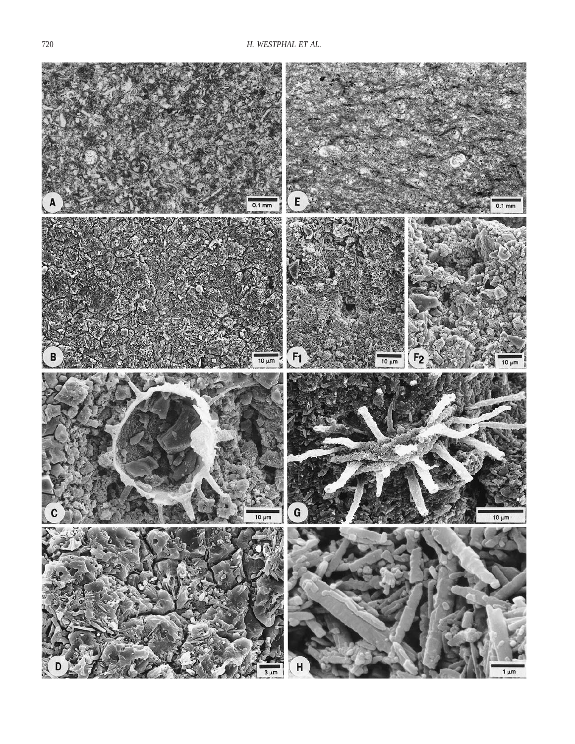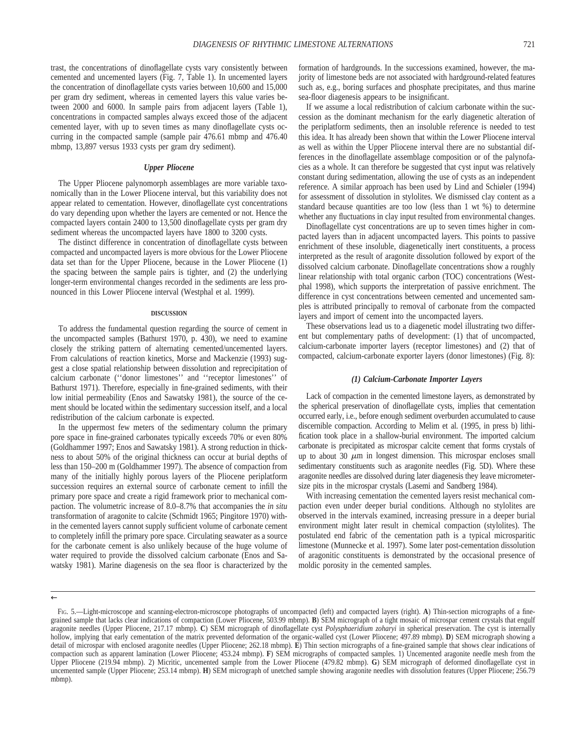trast, the concentrations of dinoflagellate cysts vary consistently between cemented and uncemented layers (Fig. 7, Table 1). In uncemented layers the concentration of dinoflagellate cysts varies between 10,600 and 15,000 per gram dry sediment, whereas in cemented layers this value varies between 2000 and 6000. In sample pairs from adjacent layers (Table 1), concentrations in compacted samples always exceed those of the adjacent cemented layer, with up to seven times as many dinoflagellate cysts occurring in the compacted sample (sample pair 476.61 mbmp and 476.40 mbmp, 13,897 versus 1933 cysts per gram dry sediment).

## *Upper Pliocene*

The Upper Pliocene palynomorph assemblages are more variable taxonomically than in the Lower Pliocene interval, but this variability does not appear related to cementation. However, dinoflagellate cyst concentrations do vary depending upon whether the layers are cemented or not. Hence the compacted layers contain 2400 to 13,500 dinoflagellate cysts per gram dry sediment whereas the uncompacted layers have 1800 to 3200 cysts.

The distinct difference in concentration of dinoflagellate cysts between compacted and uncompacted layers is more obvious for the Lower Pliocene data set than for the Upper Pliocene, because in the Lower Pliocene (1) the spacing between the sample pairs is tighter, and (2) the underlying longer-term environmental changes recorded in the sediments are less pronounced in this Lower Pliocene interval (Westphal et al. 1999).

#### **DISCUSSION**

To address the fundamental question regarding the source of cement in the uncompacted samples (Bathurst 1970, p. 430), we need to examine closely the striking pattern of alternating cemented/uncemented layers. From calculations of reaction kinetics, Morse and Mackenzie (1993) suggest a close spatial relationship between dissolution and reprecipitation of calcium carbonate (''donor limestones'' and ''receptor limestones'' of Bathurst 1971). Therefore, especially in fine-grained sediments, with their low initial permeability (Enos and Sawatsky 1981), the source of the cement should be located within the sedimentary succession itself, and a local redistribution of the calcium carbonate is expected.

In the uppermost few meters of the sedimentary column the primary pore space in fine-grained carbonates typically exceeds 70% or even 80% (Goldhammer 1997; Enos and Sawatsky 1981). A strong reduction in thickness to about 50% of the original thickness can occur at burial depths of less than 150–200 m (Goldhammer 1997). The absence of compaction from many of the initially highly porous layers of the Pliocene periplatform succession requires an external source of carbonate cement to infill the primary pore space and create a rigid framework prior to mechanical compaction. The volumetric increase of 8.0–8.7% that accompanies the *in situ* transformation of aragonite to calcite (Schmidt 1965; Pingitore 1970) within the cemented layers cannot supply sufficient volume of carbonate cement to completely infill the primary pore space. Circulating seawater as a source for the carbonate cement is also unlikely because of the huge volume of water required to provide the dissolved calcium carbonate (Enos and Sawatsky 1981). Marine diagenesis on the sea floor is characterized by the

formation of hardgrounds. In the successions examined, however, the majority of limestone beds are not associated with hardground-related features such as, e.g., boring surfaces and phosphate precipitates, and thus marine sea-floor diagenesis appears to be insignificant.

If we assume a local redistribution of calcium carbonate within the succession as the dominant mechanism for the early diagenetic alteration of the periplatform sediments, then an insoluble reference is needed to test this idea. It has already been shown that within the Lower Pliocene interval as well as within the Upper Pliocene interval there are no substantial differences in the dinoflagellate assemblage composition or of the palynofacies as a whole. It can therefore be suggested that cyst input was relatively constant during sedimentation, allowing the use of cysts as an independent reference. A similar approach has been used by Lind and Schiøler (1994) for assessment of dissolution in stylolites. We dismissed clay content as a standard because quantities are too low (less than 1 wt %) to determine whether any fluctuations in clay input resulted from environmental changes.

Dinoflagellate cyst concentrations are up to seven times higher in compacted layers than in adjacent uncompacted layers. This points to passive enrichment of these insoluble, diagenetically inert constituents, a process interpreted as the result of aragonite dissolution followed by export of the dissolved calcium carbonate. Dinoflagellate concentrations show a roughly linear relationship with total organic carbon (TOC) concentrations (Westphal 1998), which supports the interpretation of passive enrichment. The difference in cyst concentrations between cemented and uncemented samples is attributed principally to removal of carbonate from the compacted layers and import of cement into the uncompacted layers.

These observations lead us to a diagenetic model illustrating two different but complementary paths of development: (1) that of uncompacted, calcium-carbonate importer layers (receptor limestones) and (2) that of compacted, calcium-carbonate exporter layers (donor limestones) (Fig. 8):

### *(1) Calcium-Carbonate Importer Layers*

Lack of compaction in the cemented limestone layers, as demonstrated by the spherical preservation of dinoflagellate cysts, implies that cementation occurred early, i.e., before enough sediment overburden accumulated to cause discernible compaction. According to Melim et al. (1995, in press b) lithification took place in a shallow-burial environment. The imported calcium carbonate is precipitated as microspar calcite cement that forms crystals of up to about 30  $\mu$ m in longest dimension. This microspar encloses small sedimentary constituents such as aragonite needles (Fig. 5D). Where these aragonite needles are dissolved during later diagenesis they leave micrometersize pits in the microspar crystals (Lasemi and Sandberg 1984).

With increasing cementation the cemented layers resist mechanical compaction even under deeper burial conditions. Although no stylolites are observed in the intervals examined, increasing pressure in a deeper burial environment might later result in chemical compaction (stylolites). The postulated end fabric of the cementation path is a typical microsparitic limestone (Munnecke et al. 1997). Some later post-cementation dissolution of aragonitic constituents is demonstrated by the occasional presence of moldic porosity in the cemented samples.

←

FIG. 5.—Light-microscope and scanning-electron-microscope photographs of uncompacted (left) and compacted layers (right). A) Thin-section micrographs of a finegrained sample that lacks clear indications of compaction (Lower Pliocene, 503.99 mbmp). **B**) SEM micrograph of a tight mosaic of microspar cement crystals that engulf aragonite needles (Upper Pliocene, 217.17 mbmp). **C**) SEM micrograph of dinoflagellate cyst *Polysphaeridium zoharyi* in spherical preservation. The cyst is internally hollow, implying that early cementation of the matrix prevented deformation of the organic-walled cyst (Lower Pliocene; 497.89 mbmp). **D**) SEM micrograph showing a detail of microspar with enclosed aragonite needles (Upper Pliocene; 262.18 mbmp). **E**) Thin section micrographs of a fine-grained sample that shows clear indications of compaction such as apparent lamination (Lower Pliocene; 453.24 mbmp). **F**) SEM micrographs of compacted samples. 1) Uncemented aragonite needle mesh from the Upper Pliocene (219.94 mbmp). 2) Micritic, uncemented sample from the Lower Pliocene (479.82 mbmp). **G**) SEM micrograph of deformed dinoflagellate cyst in uncemented sample (Upper Pliocene; 253.14 mbmp). **H**) SEM micrograph of unetched sample showing aragonite needles with dissolution features (Upper Pliocene; 256.79 mbmp).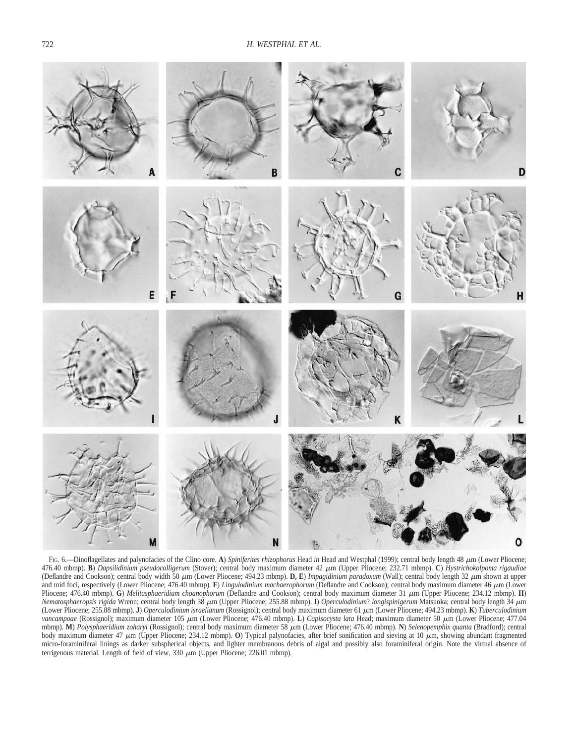

FIG. 6.—Dinoflagellates and palynofacies of the Clino core. A) Spiniferites rhizophorus Head in Head and Westphal (1999); central body length 48  $\mu$ m (Lower Pliocene; 476.40 mbmp). **B**) *Dapsilidinium pseudocolligerum* (Stover); central body maximum diameter 42 mm (Upper Pliocene; 232.71 mbmp). **C**) *Hystrichokolpoma rigaudiae* (Deflandre and Cookson); central body width 50  $\mu$ m (Lower Pliocene; 494.23 mbmp). **D, E**) *Impagidinium paradoxum* (Wall); central body length 32  $\mu$ m shown at upper and mid foci, respectively (Lower Pliocene; 476.40 mbmp). **F**) *Lingulodinium machaerophorum* (Deflandre and Cookson); central body maximum diameter 46  $\mu$ m (Lower Pliocene; 476.40 mbmp). **G**) *Melitasphaeridium choanophorum* (Deflandre and Cookson); central body maximum diameter 31  $\mu$ m (Upper Pliocene; 234.12 mbmp). **H**) *Nematosphaeropsis rigida* Wrenn; central body length 38 μm (Upper Pliocene; 255.88 mbmp). I) Operculodinium? longispinigerum Matsuoka; central body length 34 μm (Lower Pliocene; 255.88 mbmp). **J**) *Operculodinium israelianum* (Rossignol); central body maximum diameter 61 mm (Lower Pliocene; 494.23 mbmp). **K**) *Tuberculodinium vancampoae* (Rossignol); maximum diameter 105 μm (Lower Pliocene; 476.40 mbmp). L) Capisocysta lata Head; maximum diameter 50 μm (Lower Pliocene; 477.04 mbmp). **M**) *Polysphaeridium zoharyi* (Rossignol); central body maximum diameter 58  $\mu$ m (Lower Pliocene; 476.40 mbmp). **N**) *Selenopemphix quanta* (Bradford); central body maximum diameter 47  $\mu$ m (Upper Pliocene; 234.12 mbmp). **O**) Typical palynofacies, after brief sonification and sieving at 10  $\mu$ m, showing abundant fragmented micro-foraminiferal linings as darker subspherical objects, and lighter membranous debris of algal and possibly also foraminiferal origin. Note the virtual absence of terrigenous material. Length of field of view, 330  $\mu$ m (Upper Pliocene; 226.01 mbmp).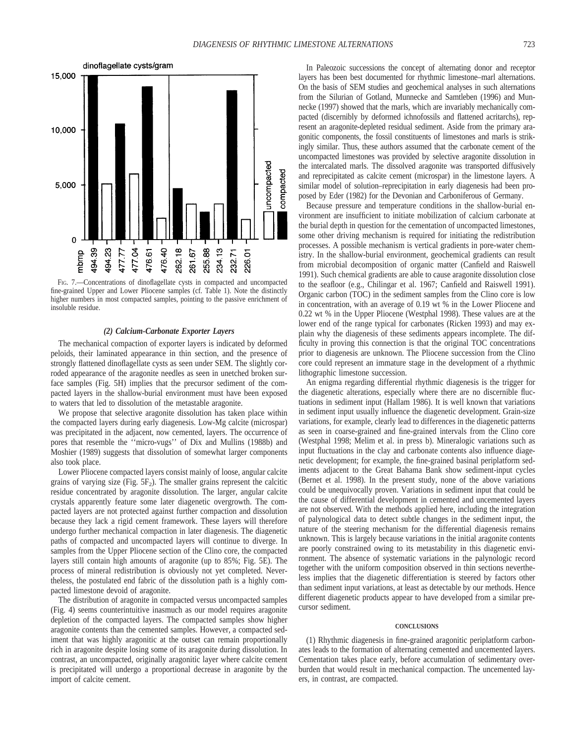

FIG. 7.—Concentrations of dinoflagellate cysts in compacted and uncompacted fine-grained Upper and Lower Pliocene samples (cf. Table 1). Note the distinctly higher numbers in most compacted samples, pointing to the passive enrichment of insoluble residue.

### *(2) Calcium-Carbonate Exporter Layers*

The mechanical compaction of exporter layers is indicated by deformed peloids, their laminated appearance in thin section, and the presence of strongly flattened dinoflagellate cysts as seen under SEM. The slightly corroded appearance of the aragonite needles as seen in unetched broken surface samples (Fig. 5H) implies that the precursor sediment of the compacted layers in the shallow-burial environment must have been exposed to waters that led to dissolution of the metastable aragonite.

We propose that selective aragonite dissolution has taken place within the compacted layers during early diagenesis. Low-Mg calcite (microspar) was precipitated in the adjacent, now cemented, layers. The occurrence of pores that resemble the ''micro-vugs'' of Dix and Mullins (1988b) and Moshier (1989) suggests that dissolution of somewhat larger components also took place.

Lower Pliocene compacted layers consist mainly of loose, angular calcite grains of varying size (Fig.  $5F_2$ ). The smaller grains represent the calcitic residue concentrated by aragonite dissolution. The larger, angular calcite crystals apparently feature some later diagenetic overgrowth. The compacted layers are not protected against further compaction and dissolution because they lack a rigid cement framework. These layers will therefore undergo further mechanical compaction in later diagenesis. The diagenetic paths of compacted and uncompacted layers will continue to diverge. In samples from the Upper Pliocene section of the Clino core, the compacted layers still contain high amounts of aragonite (up to 85%; Fig. 5E). The process of mineral redistribution is obviously not yet completed. Nevertheless, the postulated end fabric of the dissolution path is a highly compacted limestone devoid of aragonite.

The distribution of aragonite in compacted versus uncompacted samples (Fig. 4) seems counterintuitive inasmuch as our model requires aragonite depletion of the compacted layers. The compacted samples show higher aragonite contents than the cemented samples. However, a compacted sediment that was highly aragonitic at the outset can remain proportionally rich in aragonite despite losing some of its aragonite during dissolution. In contrast, an uncompacted, originally aragonitic layer where calcite cement is precipitated will undergo a proportional decrease in aragonite by the import of calcite cement.

In Paleozoic successions the concept of alternating donor and receptor layers has been best documented for rhythmic limestone–marl alternations. On the basis of SEM studies and geochemical analyses in such alternations from the Silurian of Gotland, Munnecke and Samtleben (1996) and Munnecke (1997) showed that the marls, which are invariably mechanically compacted (discernibly by deformed ichnofossils and flattened acritarchs), represent an aragonite-depleted residual sediment. Aside from the primary aragonitic components, the fossil constituents of limestones and marls is strikingly similar. Thus, these authors assumed that the carbonate cement of the uncompacted limestones was provided by selective aragonite dissolution in the intercalated marls. The dissolved aragonite was transported diffusively and reprecipitated as calcite cement (microspar) in the limestone layers. A similar model of solution–reprecipitation in early diagenesis had been proposed by Eder (1982) for the Devonian and Carboniferous of Germany.

Because pressure and temperature conditions in the shallow-burial environment are insufficient to initiate mobilization of calcium carbonate at the burial depth in question for the cementation of uncompacted limestones, some other driving mechanism is required for initiating the redistribution processes. A possible mechanism is vertical gradients in pore-water chemistry. In the shallow-burial environment, geochemical gradients can result from microbial decomposition of organic matter (Canfield and Raiswell 1991). Such chemical gradients are able to cause aragonite dissolution close to the seafloor (e.g., Chilingar et al. 1967; Canfield and Raiswell 1991). Organic carbon (TOC) in the sediment samples from the Clino core is low in concentration, with an average of 0.19 wt % in the Lower Pliocene and 0.22 wt % in the Upper Pliocene (Westphal 1998). These values are at the lower end of the range typical for carbonates (Ricken 1993) and may explain why the diagenesis of these sediments appears incomplete. The difficulty in proving this connection is that the original TOC concentrations prior to diagenesis are unknown. The Pliocene succession from the Clino core could represent an immature stage in the development of a rhythmic lithographic limestone succession.

An enigma regarding differential rhythmic diagenesis is the trigger for the diagenetic alterations, especially where there are no discernible fluctuations in sediment input (Hallam 1986). It is well known that variations in sediment input usually influence the diagenetic development. Grain-size variations, for example, clearly lead to differences in the diagenetic patterns as seen in coarse-grained and fine-grained intervals from the Clino core (Westphal 1998; Melim et al. in press b). Mineralogic variations such as input fluctuations in the clay and carbonate contents also influence diagenetic development; for example, the fine-grained basinal periplatform sediments adjacent to the Great Bahama Bank show sediment-input cycles (Bernet et al. 1998). In the present study, none of the above variations could be unequivocally proven. Variations in sediment input that could be the cause of differential development in cemented and uncemented layers are not observed. With the methods applied here, including the integration of palynological data to detect subtle changes in the sediment input, the nature of the steering mechanism for the differential diagenesis remains unknown. This is largely because variations in the initial aragonite contents are poorly constrained owing to its metastability in this diagenetic environment. The absence of systematic variations in the palynologic record together with the uniform composition observed in thin sections nevertheless implies that the diagenetic differentiation is steered by factors other than sediment input variations, at least as detectable by our methods. Hence different diagenetic products appear to have developed from a similar precursor sediment.

#### **CONCLUSIONS**

(1) Rhythmic diagenesis in fine-grained aragonitic periplatform carbonates leads to the formation of alternating cemented and uncemented layers. Cementation takes place early, before accumulation of sedimentary overburden that would result in mechanical compaction. The uncemented layers, in contrast, are compacted.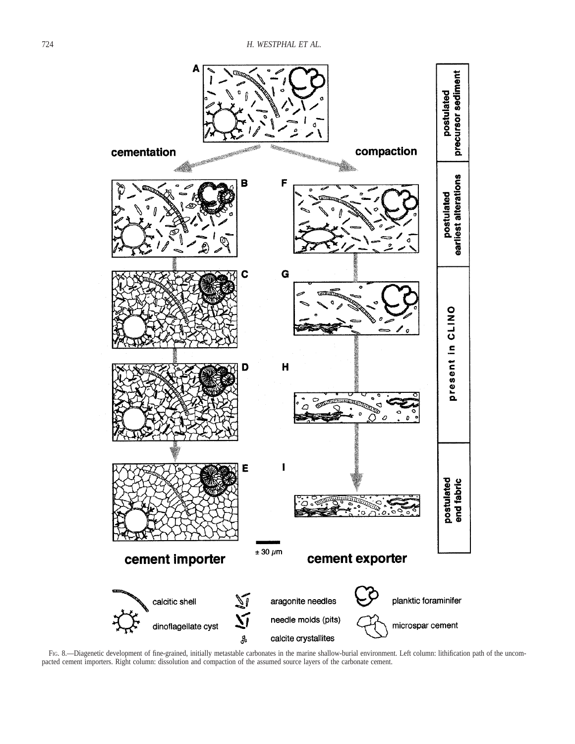

FIG. 8.—Diagenetic development of fine-grained, initially metastable carbonates in the marine shallow-burial environment. Left column: lithification path of the uncompacted cement importers. Right column: dissolution and compaction of the assumed source layers of the carbonate cement.